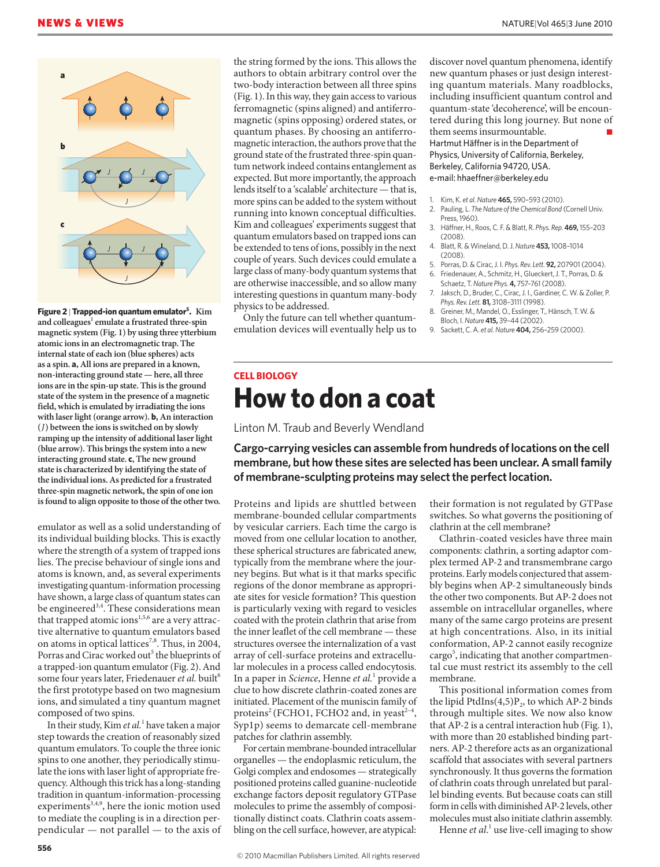

**Figure 2** | **Trapped-ion quantum emulator5 . Kim**  and colleagues<sup>1</sup> emulate a frustrated three-spin **magnetic system (Fig. 1) by using three ytterbium atomic ions in an electromagnetic trap. The internal state of each ion (blue spheres) acts as a spin. a, All ions are prepared in a known, non-interacting ground state — here, all three ions are in the spin-up state. This is the ground state of the system in the presence of a magnetic field, which is emulated by irradiating the ions with laser light (orange arrow). b, An interaction (***J***) between the ions is switched on by slowly ramping up the intensity of additional laser light (blue arrow). This brings the system into a new interacting ground state. c, The new ground state is characterized by identifying the state of the individual ions. As predicted for a frustrated three-spin magnetic network, the spin of one ion is found to align opposite to those of the other two.** 

emulator as well as a solid understanding of its individual building blocks. This is exactly where the strength of a system of trapped ions lies. The precise behaviour of single ions and atoms is known, and, as several experiments investigating quantum-information processing have shown, a large class of quantum states can be engineered<sup>3,4</sup>. These considerations mean that trapped atomic ions $1,5,6$  are a very attractive alternative to quantum emulators based on atoms in optical lattices<sup>7,8</sup>. Thus, in 2004, Porras and Cirac worked out<sup>5</sup> the blueprints of a trapped-ion quantum emulator (Fig. 2). And some four years later, Friedenauer et al. built<sup>6</sup> the first prototype based on two magnesium ions, andsimulated a tiny quantum magnet composed of two spins.

In their study, Kim *et al.*<sup>1</sup> have taken a major step towards the creation of reasonably sized quantum emulators. To couple the three ionic spins to one another, they periodically stimulate the ions with laser light of appropriate frequency. Although this trick has a long-standing tradition in quantum-information-processing experiments<sup>3,4,9</sup>, here the ionic motion used to mediate the coupling is in a direction perpendicular — not parallel — to the axis of the string formed by the ions. This allows the authors to obtain arbitrary control over the two-body interaction between all three spins (Fig. 1). In this way, they gain access to various ferromagnetic (spins aligned) and antiferromagnetic (spins opposing) ordered states, or quantum phases. By choosing an antiferromagnetic interaction, the authors prove that the ground state of the frustrated three-spin quantum network indeed contains entanglement as expected. But more importantly, the approach lends itself to a 'scalable' architecture — that is, more spins can be added to the system without running into known conceptual difficulties. Kim and colleagues' experiments suggest that quantum emulators based on trapped ions can be extended to tens of ions, possibly in the next couple of years. Such devices could emulate a large class of many-body quantum systems that are otherwise inaccessible, and so allow many interesting questions in quantum many-body physics to be addressed.

Only the future can tell whether quantumemulation devices will eventually help us to discover novel quantum phenomena, identify new quantum phases or just design interesting quantum materials. Many roadblocks, including insufficient quantum control and quantum-state 'decoherence', will be encountered during this long journey. But none of them seems insurmountable. Hartmut Häffner is in the Department of Physics, University of California, Berkeley, Berkeley, California 94720, USA. e-mail: hhaeffner@berkeley.edu

- 1. Kim, K. *et al.Nature* **465,** 590–593 (2010).
- 2. Pauling, L. *The Nature of the Chemical Bond* (Cornell Univ. Press, 1960).
- 3. Häffner, H., Roos, C. F. & Blatt, R. *Phys. Rep.* **469,** 155–203  $(2008)$
- 4. Blatt, R. & Wineland, D. J. *Nature* **453,** 1008–1014 (2008).
- 5. Porras, D. & Cirac, J. I. *Phys. Rev. Lett.* **92,** 207901 (2004). 6. Friedenauer, A., Schmitz, H., Glueckert, J. T., Porras, D. &
- Schaetz, T. *Nature Phys.* **4,** 757–761 (2008). 7. Jaksch, D., Bruder, C., Cirac, J. I., Gardiner, C. W. & Zoller, P.
- *Phys. Rev. Lett.* **81,** 3108–3111 (1998). 8. Greiner, M., Mandel, O., Esslinger, T., Hänsch, T. W. & Bloch, I. *Nature* **415,** 39–44 (2002).
- 9. Sackett, C. A. *et al.Nature* **404,** 256–259 (2000).

## **CELL BIOLOGY How to don a coat**

Linton M. Traub and Beverly Wendland

**Cargo-carrying vesicles can assemble from hundreds of locations on the cell membrane, but how these sites are selected has been unclear. A small family of membrane-sculpting proteins may select the perfect location.**

Proteins and lipids are shuttled between membrane-bounded cellular compartments by vesicular carriers. Each time the cargo is moved from one cellular location to another, these spherical structures are fabricated anew, typically from the membrane where the journey begins. But what is it that marks specific regions of the donor membrane as appropriate sites for vesicle formation? This question is particularly vexing with regard to vesicles coated with the protein clathrin that arise from the inner leaflet of the cell membrane — these structures oversee the internalization of a vast array of cell-surface proteins and extracellular molecules in a process called endocytosis. In a paper in *Science*, Henne *et al.*<sup>1</sup> provide a clue to how discrete clathrin-coated zones are initiated. Placement of the muniscin family of proteins<sup>2</sup> (FCHO1, FCHO2 and, in yeast<sup>2-4</sup>, Syp1p) seems to demarcate cell-membrane patches for clathrin assembly.

For certain membrane-bounded intracellular organelles — the endoplasmic reticulum, the Golgi complex and endosomes — strategically positioned proteins called guanine-nucleotide exchange factors deposit regulatory GTPase molecules to prime the assembly of compositionally distinct coats. Clathrin coats assembling on the cell surface, however, are atypical:

their formation is not regulated by GTPase switches. So what governs the positioning of clathrin at the cell membrane?

Clathrin-coated vesicles have three main components: clathrin, a sorting adaptor complex termed AP-2 and transmembrane cargo proteins. Early models conjectured that assembly begins when AP-2 simultaneously binds the other two components. But AP-2 does not assemble on intracellular organelles, where many of the same cargo proteins are present at high concentrations. Also, in its initial conformation, AP-2 cannot easily recognize cargo<sup>5</sup>, indicating that another compartmental cue must restrict its assembly to the cell membrane.

This positional information comes from the lipid  $Ptdlns(4,5)P<sub>2</sub>$ , to which AP-2 binds through multiple sites. We now also know that AP-2 is a central interaction hub (Fig. 1), with more than 20 established binding partners. AP-2 therefore acts as an organizational scaffold that associates with several partners synchronously. It thus governs the formation of clathrin coats through unrelated but parallel binding events. But because coats can still form in cells with diminished AP-2 levels, other molecules must also initiate clathrin assembly.

Henne et al.<sup>1</sup> use live-cell imaging to show